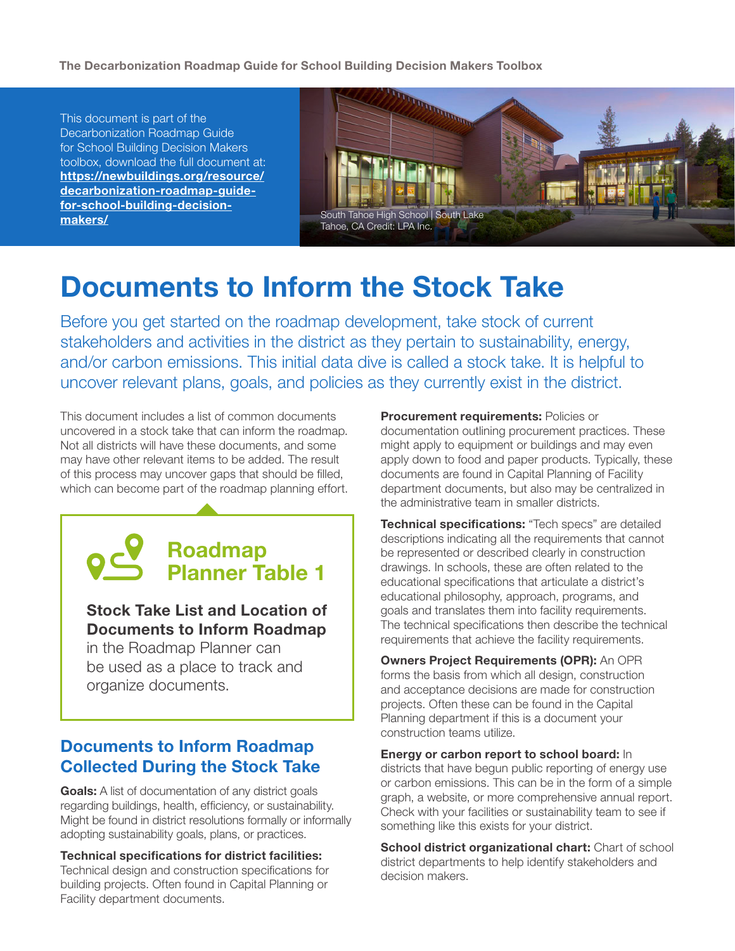**The Decarbonization Roadmap Guide for School Building Decision Makers Toolbox**

This document is part of the Decarbonization Roadmap Guide for School Building Decision Makers toolbox, download the full document at: **[https://newbuildings.org/resource/](https://newbuildings.org/resource/decarbonization-roadmap-guide-for-school-building-decision-makers/) [decarbonization-roadmap-guide](https://newbuildings.org/resource/decarbonization-roadmap-guide-for-school-building-decision-makers/)[for-school-building-decision](https://newbuildings.org/resource/decarbonization-roadmap-guide-for-school-building-decision-makers/)[makers/](https://newbuildings.org/resource/decarbonization-roadmap-guide-for-school-building-decision-makers/)**



## **Documents to Inform the Stock Take**

Before you get started on the roadmap development, take stock of current stakeholders and activities in the district as they pertain to sustainability, energy, and/or carbon emissions. This initial data dive is called a stock take. It is helpful to uncover relevant plans, goals, and policies as they currently exist in the district.

This document includes a list of common documents uncovered in a stock take that can inform the roadmap. Not all districts will have these documents, and some may have other relevant items to be added. The result of this process may uncover gaps that should be filled, which can become part of the roadmap planning effort.

# **Roadmap Planner Table 1**

### **Stock Take List and Location of Documents to Inform Roadmap**

in the Roadmap Planner can be used as a place to track and organize documents.

### **Documents to Inform Roadmap Collected During the Stock Take**

**Goals:** A list of documentation of any district goals regarding buildings, health, efficiency, or sustainability. Might be found in district resolutions formally or informally adopting sustainability goals, plans, or practices.

**Technical specifications for district facilities:** Technical design and construction specifications for building projects. Often found in Capital Planning or Facility department documents.

**Procurement requirements: Policies or** documentation outlining procurement practices. These might apply to equipment or buildings and may even apply down to food and paper products. Typically, these documents are found in Capital Planning of Facility department documents, but also may be centralized in the administrative team in smaller districts.

**Technical specifications:** "Tech specs" are detailed descriptions indicating all the requirements that cannot be represented or described clearly in construction drawings. In schools, these are often related to the educational specifications that articulate a district's educational philosophy, approach, programs, and goals and translates them into facility requirements. The technical specifications then describe the technical requirements that achieve the facility requirements.

**Owners Project Requirements (OPR):** An OPR forms the basis from which all design, construction and acceptance decisions are made for construction projects. Often these can be found in the Capital Planning department if this is a document your construction teams utilize.

#### **Energy or carbon report to school board:** In

districts that have begun public reporting of energy use or carbon emissions. This can be in the form of a simple graph, a website, or more comprehensive annual report. Check with your facilities or sustainability team to see if something like this exists for your district.

**School district organizational chart:** Chart of school district departments to help identify stakeholders and decision makers.